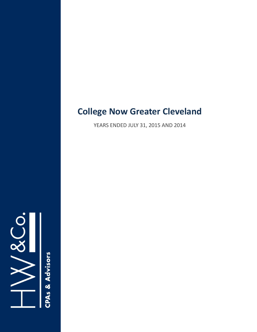# **College Now Greater Cleveland**

YEARS ENDED JULY 31, 2015 AND 2014

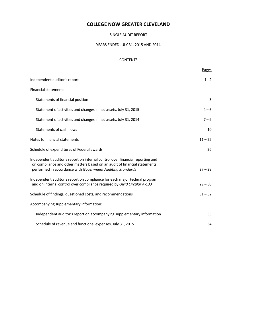# SINGLE AUDIT REPORT

# YEARS ENDED JULY 31, 2015 AND 2014

# **CONTENTS**

|                                                                                                                                                                                                                          | Pages     |
|--------------------------------------------------------------------------------------------------------------------------------------------------------------------------------------------------------------------------|-----------|
| Independent auditor's report                                                                                                                                                                                             | $1 - 2$   |
| Financial statements:                                                                                                                                                                                                    |           |
| Statements of financial position                                                                                                                                                                                         | 3         |
| Statement of activities and changes in net assets, July 31, 2015                                                                                                                                                         | $4 - 6$   |
| Statement of activities and changes in net assets, July 31, 2014                                                                                                                                                         | $7 - 9$   |
| Statements of cash flows                                                                                                                                                                                                 | 10        |
| Notes to financial statements                                                                                                                                                                                            | $11 - 25$ |
| Schedule of expenditures of Federal awards                                                                                                                                                                               | 26        |
| Independent auditor's report on internal control over financial reporting and<br>on compliance and other matters based on an audit of financial statements<br>performed in accordance with Government Auditing Standards | $27 - 28$ |
| Independent auditor's report on compliance for each major Federal program<br>and on internal control over compliance required by OMB Circular A-133                                                                      | $29 - 30$ |
| Schedule of findings, questioned costs, and recommendations                                                                                                                                                              | $31 - 32$ |
| Accompanying supplementary information:                                                                                                                                                                                  |           |
| Independent auditor's report on accompanying supplementary information                                                                                                                                                   | 33        |
| Schedule of revenue and functional expenses, July 31, 2015                                                                                                                                                               | 34        |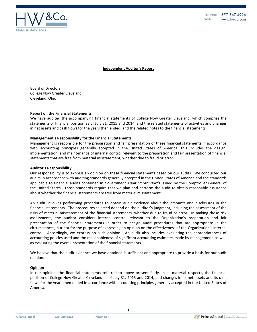

**Independent Auditor's Report**

Board of Directors College Now Greater Cleveland Cleveland, Ohio

# **Report on the Financial Statements**

We have audited the accompanying financial statements of College Now Greater Cleveland, which comprise the statements of financial position as of July 31, 2015 and 2014, and the related statements of activities and changes in net assets and cash flows for the years then ended, and the related notes to the financial statements.

# **Management's Responsibility for the Financial Statements**

Management is responsible for the preparation and fair presentation of these financial statements in accordance with accounting principles generally accepted in the United States of America; this includes the design, implementation, and maintenance of internal control relevant to the preparation and fair presentation of financial statements that are free from material misstatement, whether due to fraud or error.

### **Auditor's Responsibility**

Our responsibility is to express an opinion on these financial statements based on our audits. We conducted our audits in accordance with auditing standards generally accepted in the United States of America and the standards applicable to financial audits contained in *Government Auditing Standards* issued by the Comptroller General of the United States. Those standards require that we plan and perform the audit to obtain reasonable assurance about whether the financial statements are free from material misstatement.

An audit involves performing procedures to obtain audit evidence about the amounts and disclosures in the financial statements. The procedures selected depend on the auditor's judgment, including the assessment of the risks of material misstatement of the financial statements, whether due to fraud or error. In making those risk assessments, the auditor considers internal control relevant to the Organization's preparation and fair presentation of the financial statements in order to design audit procedures that are appropriate in the circumstances, but not for the purpose of expressing an opinion on the effectiveness of the Organization's internal control. Accordingly, we express no such opinion. An audit also includes evaluating the appropriateness of accounting policies used and the reasonableness of significant accounting estimates made by management, as well as evaluating the overall presentation of the financial statements.

We believe that the audit evidence we have obtained is sufficient and appropriate to provide a basis for our audit opinion.

### **Opinion**

In our opinion, the financial statements referred to above present fairly, in all material respects, the financial position of College Now Greater Cleveland as of July 31, 2015 and 2014, and changes in its net assets and its cash flows for the years then ended in accordance with accounting principles generally accepted in the United States of America.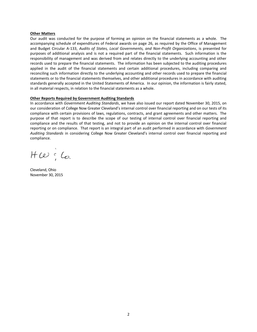#### **Other Matters**

Our audit was conducted for the purpose of forming an opinion on the financial statements as a whole. The accompanying schedule of expenditures of Federal awards on page 26, as required by the Office of Management and Budget Circular A-133, *Audits of States, Local Governments, and Non-Profit Organizations*, is presented for purposes of additional analysis and is not a required part of the financial statements. Such information is the responsibility of management and was derived from and relates directly to the underlying accounting and other records used to prepare the financial statements. The information has been subjected to the auditing procedures applied in the audit of the financial statements and certain additional procedures, including comparing and reconciling such information directly to the underlying accounting and other records used to prepare the financial statements or to the financial statements themselves, and other additional procedures in accordance with auditing standards generally accepted in the United Statements of America. In our opinion, the information is fairly stated, in all material respects, in relation to the financial statements as a whole.

#### **Other Reports Required by Government Auditing Standards**

In accordance with *Government Auditing Standards*, we have also issued our report dated November 30, 2015, on our consideration of College Now Greater Cleveland's internal control over financial reporting and on our tests of its compliance with certain provisions of laws, regulations, contracts, and grant agreements and other matters. The purpose of that report is to describe the scope of our testing of internal control over financial reporting and compliance and the results of that testing, and not to provide an opinion on the internal control over financial reporting or on compliance. That report is an integral part of an audit performed in accordance with *Government Auditing Standards* in considering College Now Greater Cleveland's internal control over financial reporting and compliance.

 $H\omega$  : Co.

Cleveland, Ohio November 30, 2015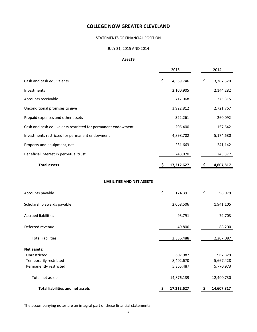# STATEMENTS OF FINANCIAL POSITION

# JULY 31, 2015 AND 2014

# **ASSETS**

|                                                              | 2015       |            |  |    | 2014       |
|--------------------------------------------------------------|------------|------------|--|----|------------|
| Cash and cash equivalents                                    | \$         | 4,569,746  |  | \$ | 3,387,520  |
| Investments                                                  |            | 2,100,905  |  |    | 2,144,282  |
| Accounts receivable                                          |            | 717,068    |  |    | 275,315    |
| Unconditional promises to give                               |            | 3,922,812  |  |    | 2,721,767  |
| Prepaid expenses and other assets                            |            | 322,261    |  |    | 260,092    |
| Cash and cash equivalents restricted for permanent endowment |            | 206,400    |  |    | 157,642    |
| Investments restricted for permanent endowment               |            | 4,898,702  |  |    | 5,174,680  |
| Property and equipment, net                                  |            | 231,663    |  |    | 241,142    |
| Beneficial interest in perpetual trust                       |            | 243,070    |  |    | 245,377    |
| <b>Total assets</b>                                          | 17,212,627 |            |  | Ş. | 14,607,817 |
| <b>LIABILITIES AND NET ASSETS</b>                            |            |            |  |    |            |
| Accounts payable                                             | \$         | 124,391    |  | \$ | 98,079     |
| Scholarship awards payable                                   |            | 2,068,506  |  |    | 1,941,105  |
| <b>Accrued liabilities</b>                                   |            | 93,791     |  |    | 79,703     |
| Deferred revenue                                             |            | 49,800     |  |    | 88,200     |
| <b>Total liabilities</b>                                     |            | 2,336,488  |  |    | 2,207,087  |
| <b>Net assets:</b>                                           |            |            |  |    |            |
| Unrestricted                                                 |            | 607,982    |  |    | 962,329    |
| Temporarily restricted                                       |            | 8,402,670  |  |    | 5,667,428  |
| Permanently restricted                                       |            | 5,865,487  |  |    | 5,770,973  |
| Total net assets                                             |            | 14,876,139 |  |    | 12,400,730 |
| <b>Total liabilities and net assets</b>                      | -Ş         | 17,212,627 |  | \$ | 14,607,817 |

The accompanying notes are an integral part of these financial statements.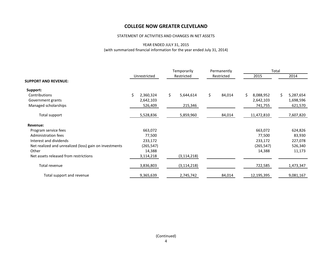# STATEMENT OF ACTIVITIES AND CHANGES IN NET ASSETS

# YEAR ENDED JULY 31, 2015 (with summarized financial information for the year ended July 31, 2014)

|                                                        |                 | Temporarily     | Permanently  | Total            |                 |  |  |
|--------------------------------------------------------|-----------------|-----------------|--------------|------------------|-----------------|--|--|
|                                                        | Unrestricted    | Restricted      | Restricted   | 2015             | 2014            |  |  |
| <b>SUPPORT AND REVENUE:</b>                            |                 |                 |              |                  |                 |  |  |
| Support:                                               |                 |                 |              |                  |                 |  |  |
| Contributions                                          | \$<br>2,360,324 | \$<br>5,644,614 | \$<br>84,014 | \$.<br>8,088,952 | Ś.<br>5,287,654 |  |  |
| Government grants                                      | 2,642,103       |                 |              | 2,642,103        | 1,698,596       |  |  |
| Managed scholarships                                   | 526,409         | 215,346         |              | 741,755          | 621,570         |  |  |
| Total support                                          | 5,528,836       | 5,859,960       | 84,014       | 11,472,810       | 7,607,820       |  |  |
| Revenue:                                               |                 |                 |              |                  |                 |  |  |
| Program service fees                                   | 663,072         |                 |              | 663,072          | 624,826         |  |  |
| Administration fees                                    | 77,500          |                 |              | 77,500           | 83,930          |  |  |
| Interest and dividends                                 | 233,172         |                 |              | 233,172          | 227,078         |  |  |
| Net realized and unrealized (loss) gain on investments | (265, 547)      |                 |              | (265, 547)       | 526,340         |  |  |
| Other                                                  | 14,388          |                 |              | 14,388           | 11,173          |  |  |
| Net assets released from restrictions                  | 3,114,218       | (3, 114, 218)   |              |                  |                 |  |  |
| Total revenue                                          | 3,836,803       | (3, 114, 218)   |              | 722,585          | 1,473,347       |  |  |
| Total support and revenue                              | 9,365,639       | 2,745,742       | 84,014       | 12,195,395       | 9,081,167       |  |  |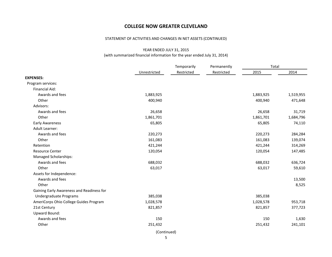# STATEMENT OF ACTIVITIES AND CHANGES IN NET ASSETS (CONTINUED)

# YEAR ENDED JULY 31, 2015 (with summarized financial information for the year ended July 31, 2014)

|                                           | Temporarily<br>Permanently |            |            | Total     |           |
|-------------------------------------------|----------------------------|------------|------------|-----------|-----------|
|                                           | Unrestricted               | Restricted | Restricted | 2015      | 2014      |
| <b>EXPENSES:</b>                          |                            |            |            |           |           |
| Program services:                         |                            |            |            |           |           |
| Financial Aid:                            |                            |            |            |           |           |
| Awards and fees                           | 1,883,925                  |            |            | 1,883,925 | 1,519,955 |
| Other                                     | 400,940                    |            |            | 400,940   | 471,648   |
| Advisors:                                 |                            |            |            |           |           |
| Awards and fees                           | 26,658                     |            |            | 26,658    | 31,719    |
| Other                                     | 1,861,701                  |            |            | 1,861,701 | 1,684,796 |
| <b>Early Awareness</b>                    | 65,805                     |            |            | 65,805    | 74,110    |
| Adult Learner:                            |                            |            |            |           |           |
| Awards and fees                           | 220,273                    |            |            | 220,273   | 284,284   |
| Other                                     | 161,083                    |            |            | 161,083   | 139,074   |
| Retention                                 | 421,244                    |            |            | 421,244   | 314,269   |
| <b>Resource Center</b>                    | 120,054                    |            |            | 120,054   | 147,485   |
| <b>Managed Scholarships:</b>              |                            |            |            |           |           |
| Awards and fees                           | 688,032                    |            |            | 688,032   | 636,724   |
| Other                                     | 63,017                     |            |            | 63,017    | 59,610    |
| Assets for Independence:                  |                            |            |            |           |           |
| Awards and fees                           |                            |            |            |           | 13,500    |
| Other                                     |                            |            |            |           | 8,525     |
| Gaining Early Awareness and Readiness for |                            |            |            |           |           |
| Undergraduate Programs                    | 385,038                    |            |            | 385,038   |           |
| AmeriCorps Ohio College Guides Program    | 1,028,578                  |            |            | 1,028,578 | 953,718   |
| 21st Century                              | 821,857                    |            |            | 821,857   | 377,723   |
| Upward Bound:                             |                            |            |            |           |           |
| Awards and fees                           | 150                        |            |            | 150       | 1,630     |
| Other                                     | 251,432                    |            |            | 251,432   | 241,101   |
|                                           |                            |            |            |           |           |

(Continued)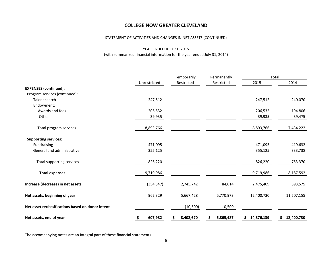# STATEMENT OF ACTIVITIES AND CHANGES IN NET ASSETS (CONTINUED)

# YEAR ENDED JULY 31, 2015 (with summarized financial information for the year ended July 31, 2014)

|                                                   |              | Temporarily     | Permanently     |                  | Total      |
|---------------------------------------------------|--------------|-----------------|-----------------|------------------|------------|
|                                                   | Unrestricted | Restricted      | Restricted      | 2015             | 2014       |
| <b>EXPENSES (continued):</b>                      |              |                 |                 |                  |            |
| Program services (continued):                     |              |                 |                 |                  |            |
| Talent search                                     | 247,512      |                 |                 | 247,512          | 240,070    |
| Endowment:                                        |              |                 |                 |                  |            |
| Awards and fees                                   | 206,532      |                 |                 | 206,532          | 194,806    |
| Other                                             | 39,935       |                 |                 | 39,935           | 39,475     |
| Total program services                            | 8,893,766    |                 |                 | 8,893,766        | 7,434,222  |
| <b>Supporting services:</b>                       |              |                 |                 |                  |            |
| Fundraising                                       | 471,095      |                 |                 | 471,095          | 419,632    |
| General and administrative                        | 355,125      |                 |                 | 355,125          | 333,738    |
| Total supporting services                         | 826,220      |                 |                 | 826,220          | 753,370    |
| <b>Total expenses</b>                             | 9,719,986    |                 |                 | 9,719,986        | 8,187,592  |
| Increase (decrease) in net assets                 | (354, 347)   | 2,745,742       | 84,014          | 2,475,409        | 893,575    |
| Net assets, beginning of year                     | 962,329      | 5,667,428       | 5,770,973       | 12,400,730       | 11,507,155 |
| Net asset reclassifications based on donor intent |              | (10, 500)       | 10,500          |                  |            |
| Net assets, end of year                           | 607,982<br>Ş | 8,402,670<br>\$ | 5,865,487<br>Ş. | 14,876,139<br>Ş. | 12,400,730 |

The accompanying notes are an integral part of these financial statements.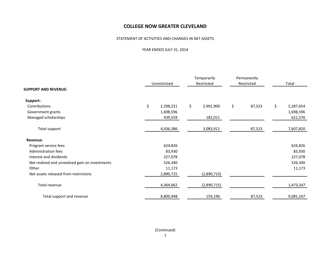# STATEMENT OF ACTIVITIES AND CHANGES IN NET ASSETS

# YEAR ENDED JULY 31, 2014

| <b>SUPPORT AND REVENUE:</b>                     | Unrestricted    | Temporarily<br>Restricted | Permanently<br>Restricted | Total           |
|-------------------------------------------------|-----------------|---------------------------|---------------------------|-----------------|
| Support:                                        |                 |                           |                           |                 |
| Contributions                                   | \$<br>2,298,231 | \$<br>2,901,900           | \$<br>87,523              | \$<br>5,287,654 |
| Government grants                               | 1,698,596       |                           |                           | 1,698,596       |
| Managed scholarships                            | 439,559         | 182,011                   |                           | 621,570         |
| Total support                                   | 4,436,386       | 3,083,911                 | 87,523                    | 7,607,820       |
| Revenue:                                        |                 |                           |                           |                 |
| Program service fees                            | 624,826         |                           |                           | 624,826         |
| Administration fees                             | 83,930          |                           |                           | 83,930          |
| Interest and dividends                          | 227,078         |                           |                           | 227,078         |
| Net realized and unrealized gain on investments | 526,340         |                           |                           | 526,340         |
| Other                                           | 11,173          |                           |                           | 11,173          |
| Net assets released from restrictions           | 2,890,715       | (2,890,715)               |                           |                 |
| Total revenue                                   | 4,364,062       | (2,890,715)               |                           | 1,473,347       |
| Total support and revenue                       | 8,800,448       | 193,196                   | 87,523                    | 9,081,167       |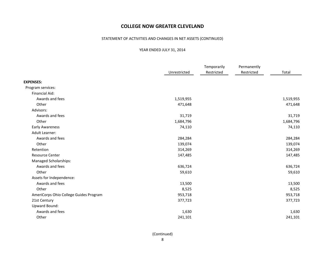# STATEMENT OF ACTIVITIES AND CHANGES IN NET ASSETS (CONTINUED)

# YEAR ENDED JULY 31, 2014

|                                        |              | Temporarily | Permanently |           |
|----------------------------------------|--------------|-------------|-------------|-----------|
|                                        | Unrestricted | Restricted  | Restricted  | Total     |
| <b>EXPENSES:</b>                       |              |             |             |           |
| Program services:                      |              |             |             |           |
| Financial Aid:                         |              |             |             |           |
| Awards and fees                        | 1,519,955    |             |             | 1,519,955 |
| Other                                  | 471,648      |             |             | 471,648   |
| Advisors:                              |              |             |             |           |
| Awards and fees                        | 31,719       |             |             | 31,719    |
| Other                                  | 1,684,796    |             |             | 1,684,796 |
| <b>Early Awareness</b>                 | 74,110       |             |             | 74,110    |
| Adult Learner:                         |              |             |             |           |
| Awards and fees                        | 284,284      |             |             | 284,284   |
| Other                                  | 139,074      |             |             | 139,074   |
| Retention                              | 314,269      |             |             | 314,269   |
| <b>Resource Center</b>                 | 147,485      |             |             | 147,485   |
| <b>Managed Scholarships:</b>           |              |             |             |           |
| Awards and fees                        | 636,724      |             |             | 636,724   |
| Other                                  | 59,610       |             |             | 59,610    |
| Assets for Independence:               |              |             |             |           |
| Awards and fees                        | 13,500       |             |             | 13,500    |
| Other                                  | 8,525        |             |             | 8,525     |
| AmeriCorps Ohio College Guides Program | 953,718      |             |             | 953,718   |
| 21st Century                           | 377,723      |             |             | 377,723   |
| <b>Upward Bound:</b>                   |              |             |             |           |
| Awards and fees                        | 1,630        |             |             | 1,630     |
| Other                                  | 241,101      |             |             | 241,101   |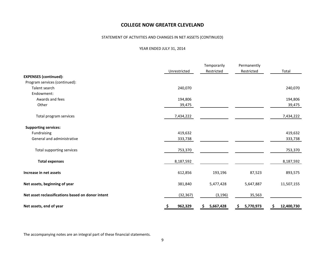# STATEMENT OF ACTIVITIES AND CHANGES IN NET ASSETS (CONTINUED)

# YEAR ENDED JULY 31, 2014

|                                                   |               | Temporarily     | Permanently      |                  |
|---------------------------------------------------|---------------|-----------------|------------------|------------------|
|                                                   | Unrestricted  | Restricted      | Restricted       | Total            |
| <b>EXPENSES (continued):</b>                      |               |                 |                  |                  |
| Program services (continued):                     |               |                 |                  |                  |
| Talent search                                     | 240,070       |                 |                  | 240,070          |
| Endowment:                                        |               |                 |                  |                  |
| Awards and fees                                   | 194,806       |                 |                  | 194,806          |
| Other                                             | 39,475        |                 |                  | 39,475           |
| Total program services                            | 7,434,222     |                 |                  | 7,434,222        |
| <b>Supporting services:</b>                       |               |                 |                  |                  |
| Fundraising                                       | 419,632       |                 |                  | 419,632          |
| General and administrative                        | 333,738       |                 |                  | 333,738          |
| Total supporting services                         | 753,370       |                 |                  | 753,370          |
| <b>Total expenses</b>                             | 8,187,592     |                 |                  | 8,187,592        |
| Increase in net assets                            | 612,856       | 193,196         | 87,523           | 893,575          |
| Net assets, beginning of year                     | 381,840       | 5,477,428       | 5,647,887        | 11,507,155       |
| Net asset reclassifications based on donor intent | (32, 367)     | (3, 196)        | 35,563           |                  |
| Net assets, end of year                           | 962,329<br>\$ | 5,667,428<br>Ş. | 5,770,973<br>\$, | 12,400,730<br>\$ |

The accompanying notes are an integral part of these financial statements.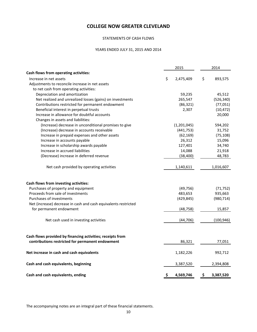# STATEMENTS OF CASH FLOWS

# YEARS ENDED JULY 31, 2015 AND 2014

|                                                                 |    | 2015        |    | 2014       |
|-----------------------------------------------------------------|----|-------------|----|------------|
| Cash flows from operating activities:                           |    |             |    |            |
| Increase in net assets                                          | \$ | 2,475,409   | \$ | 893,575    |
| Adjustments to reconcile increase in net assets                 |    |             |    |            |
| to net cash from operating activities:                          |    |             |    |            |
| Depreciation and amortization                                   |    | 59,235      |    | 45,512     |
| Net realized and unrealized losses (gains) on investments       |    | 265,547     |    | (526, 340) |
| Contributions restricted for permanent endowment                |    | (86, 321)   |    | (77, 051)  |
| Beneficial interest in perpetual trusts                         |    | 2,307       |    | (10, 472)  |
| Increase in allowance for doubtful accounts                     |    |             |    | 20,000     |
| Changes in assets and liabilities:                              |    |             |    |            |
| (Increase) decrease in unconditional promises to give           |    | (1,201,045) |    | 594,202    |
| (Increase) decrease in accounts receivable                      |    | (441, 753)  |    | 31,752     |
| Increase in prepaid expenses and other assets                   |    | (62, 169)   |    | (75, 108)  |
| Increase in accounts payable                                    |    | 26,312      |    | 15,096     |
| Increase in scholarship awards payable                          |    | 127,401     |    | 34,740     |
| Increase in accrued liabilities                                 |    | 14,088      |    | 21,918     |
| (Decrease) increase in deferred revenue                         |    | (38, 400)   |    | 48,783     |
| Net cash provided by operating activities                       |    | 1,140,611   |    | 1,016,607  |
| Cash flows from investing activities:                           |    |             |    |            |
| Purchases of property and equipment                             |    | (49, 756)   |    | (71, 752)  |
| Proceeds from sale of investments                               |    | 483,653     |    | 935,663    |
| Purchases of investments                                        |    | (429, 845)  |    | (980, 714) |
| Net (increase) decrease in cash and cash equivalents restricted |    |             |    |            |
| for permanent endowment                                         |    | (48, 758)   |    | 15,857     |
| Net cash used in investing activities                           |    | (44, 706)   |    | (100, 946) |
| Cash flows provided by financing activities; receipts from      |    |             |    |            |
| contributions restricted for permanent endowment                |    | 86,321      |    | 77,051     |
| Net increase in cash and cash equivalents                       |    | 1,182,226   |    | 992,712    |
| Cash and cash equivalents, beginning                            |    | 3,387,520   |    | 2,394,808  |
| Cash and cash equivalents, ending                               | Ş. | 4,569,746   | Ş  | 3,387,520  |

The accompanying notes are an integral part of these financial statements.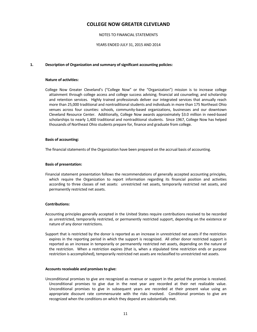### NOTES TO FINANCIAL STATEMENTS

### YEARS ENDED JULY 31, 2015 AND 2014

# **1. Description of Organization and summary of significant accounting policies:**

#### **Nature of activities:**

College Now Greater Cleveland's ("College Now" or the "Organization") mission is to increase college attainment through college access and college success advising; financial aid counseling; and scholarship and retention services. Highly trained professionals deliver our integrated services that annually reach more than 25,000 traditional and nontraditional students and individuals in more than 175 Northeast Ohio venues across four counties: schools, community-based organizations, businesses and our downtown Cleveland Resource Center. Additionally, College Now awards approximately \$3.0 million in need-based scholarships to nearly 1,400 traditional and nontraditional students. Since 1967, College Now has helped thousands of Northeast Ohio students prepare for, finance and graduate from college.

#### **Basis of accounting:**

The financial statements of the Organization have been prepared on the accrual basis of accounting.

#### **Basis of presentation:**

Financial statement presentation follows the recommendations of generally accepted accounting principles, which require the Organization to report information regarding its financial position and activities according to three classes of net assets: unrestricted net assets, temporarily restricted net assets, and permanently restricted net assets.

### **Contributions:**

- Accounting principles generally accepted in the United States require contributions received to be recorded as unrestricted, temporarily restricted, or permanently restricted support, depending on the existence or nature of any donor restrictions.
- Support that is restricted by the donor is reported as an increase in unrestricted net assets if the restriction expires in the reporting period in which the support is recognized. All other donor restricted support is reported as an increase in temporarily or permanently restricted net assets, depending on the nature of the restriction. When a restriction expires (that is, when a stipulated time restriction ends or purpose restriction is accomplished), temporarily restricted net assets are reclassified to unrestricted net assets.

#### **Accounts receivable and promises to give:**

Unconditional promises to give are recognized as revenue or support in the period the promise is received. Unconditional promises to give due in the next year are recorded at their net realizable value. Unconditional promises to give in subsequent years are recorded at their present value using an appropriate discount rate commensurate with the risks involved. Conditional promises to give are recognized when the conditions on which they depend are substantially met.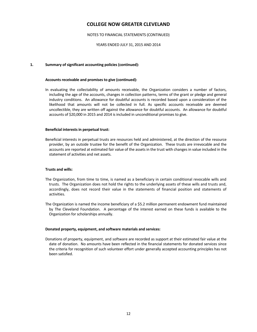# NOTES TO FINANCIAL STATEMENTS (CONTINUED)

### YEARS ENDED JULY 31, 2015 AND 2014

# **1. Summary of significant accounting policies (continued):**

### **Accounts receivable and promises to give (continued):**

In evaluating the collectability of amounts receivable, the Organization considers a number of factors, including the age of the accounts, changes in collection patterns, terms of the grant or pledge and general industry conditions. An allowance for doubtful accounts is recorded based upon a consideration of the likelihood that amounts will not be collected in full. As specific accounts receivable are deemed uncollectible, they are written off against the allowance for doubtful accounts. An allowance for doubtful accounts of \$20,000 in 2015 and 2014 is included in unconditional promises to give.

#### **Beneficial interests in perpetual trust:**

Beneficial interests in perpetual trusts are resources held and administered, at the direction of the resource provider, by an outside trustee for the benefit of the Organization. These trusts are irrevocable and the accounts are reported at estimated fair value of the assets in the trust with changes in value included in the statement of activities and net assets.

### **Trusts and wills:**

- The Organization, from time to time, is named as a beneficiary in certain conditional revocable wills and trusts. The Organization does not hold the rights to the underlying assets of these wills and trusts and, accordingly, does not record their value in the statements of financial position and statements of activities.
- The Organization is named the income beneficiary of a \$5.2 million permanent endowment fund maintained by The Cleveland Foundation. A percentage of the interest earned on these funds is available to the Organization for scholarships annually.

### **Donated property, equipment, and software materials and services:**

Donations of property, equipment, and software are recorded as support at their estimated fair value at the date of donation. No amounts have been reflected in the financial statements for donated services since the criteria for recognition of such volunteer effort under generally accepted accounting principles has not been satisfied.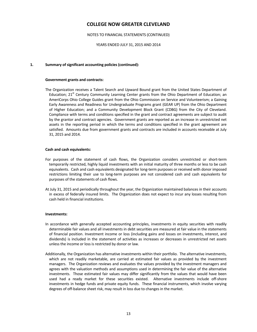### NOTES TO FINANCIAL STATEMENTS (CONTINUED)

#### YEARS ENDED JULY 31, 2015 AND 2014

# **1. Summary of significant accounting policies (continued):**

#### **Government grants and contracts:**

The Organization receives a Talent Search and Upward Bound grant from the United States Department of Education;  $21<sup>st</sup>$  Century Community Learning Center grants from the Ohio Department of Education; an AmeriCorps Ohio College Guides grant from the Ohio Commission on Service and Volunteerism; a Gaining Early Awareness and Readiness for Undergraduate Programs grant (GEAR UP) from the Ohio Department of Higher Education; and a Community Development Block Grant (CDBG) from the City of Cleveland. Compliance with terms and conditions specified in the grant and contract agreements are subject to audit by the grantor and contract agencies. Government grants are reported as an increase in unrestricted net assets in the reporting period in which the terms and conditions specified in the grant agreement are satisfied. Amounts due from government grants and contracts are included in accounts receivable at July 31, 2015 and 2014.

### **Cash and cash equivalents:**

- For purposes of the statement of cash flows, the Organization considers unrestricted or short-term temporarily restricted, highly liquid investments with an initial maturity of three months or less to be cash equivalents. Cash and cash equivalents designated for long-term purposes or received with donor imposed restrictions limiting their use to long-term purposes are not considered cash and cash equivalents for purposes of the statements of cash flows.
- At July 31, 2015 and periodically throughout the year, the Organization maintained balances in their accounts in excess of federally insured limits. The Organization does not expect to incur any losses resulting from cash held in financial institutions.

#### **Investments:**

- In accordance with generally accepted accounting principles, investments in equity securities with readily determinable fair values and all investments in debt securities are measured at fair value in the statements of financial position. Investment income or loss (including gains and losses on investments, interest, and dividends) is included in the statement of activities as increases or decreases in unrestricted net assets unless the income or loss is restricted by donor or law.
- Additionally, the Organization has alternative investments within their portfolio. The alternative investments, which are not readily marketable, are carried at estimated fair values as provided by the investment managers. The Organization reviews and evaluates the values provided by the investment managers and agrees with the valuation methods and assumptions used in determining the fair value of the alternative investments. Those estimated fair values may differ significantly from the values that would have been used had a ready market for these securities existed. Alternative investments include off-shore investments in hedge funds and private equity funds. These financial instruments, which involve varying degrees of off-balance sheet risk, may result in loss due to changes in the market.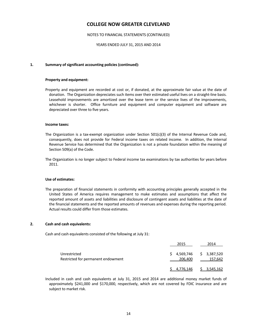# NOTES TO FINANCIAL STATEMENTS (CONTINUED)

### YEARS ENDED JULY 31, 2015 AND 2014

# **1. Summary of significant accounting policies (continued):**

#### **Property and equipment:**

Property and equipment are recorded at cost or, if donated, at the approximate fair value at the date of donation. The Organization depreciates such items over their estimated useful lives on a straight-line basis. Leasehold improvements are amortized over the lease term or the service lives of the improvements, whichever is shorter. Office furniture and equipment and computer equipment and software are depreciated over three to five years.

# **Income taxes:**

- The Organization is a tax-exempt organization under Section 501(c)(3) of the Internal Revenue Code and, consequently, does not provide for Federal income taxes on related income. In addition, the Internal Revenue Service has determined that the Organization is not a private foundation within the meaning of Section 509(a) of the Code.
- The Organization is no longer subject to Federal income tax examinations by tax authorities for years before 2011.

# **Use of estimates:**

The preparation of financial statements in conformity with accounting principles generally accepted in the United States of America requires management to make estimates and assumptions that affect the reported amount of assets and liabilities and disclosure of contingent assets and liabilities at the date of the financial statements and the reported amounts of revenues and expenses during the reporting period. Actual results could differ from those estimates.

# **2. Cash and cash equivalents:**

Cash and cash equivalents consisted of the following at July 31:

|                                                    | 2015                   | 2014                   |
|----------------------------------------------------|------------------------|------------------------|
| Unrestricted<br>Restricted for permanent endowment | \$4,569,746<br>206,400 | \$3,387,520<br>157,642 |
|                                                    | 4.776.146              | 3,545,162              |

Included in cash and cash equivalents at July 31, 2015 and 2014 are additional money market funds of approximately \$241,000 and \$170,000, respectively, which are not covered by FDIC insurance and are subject to market risk.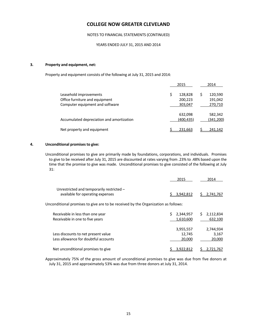# NOTES TO FINANCIAL STATEMENTS (CONTINUED)

## YEARS ENDED JULY 31, 2015 AND 2014

# **3. Property and equipment, net:**

Property and equipment consists of the following at July 31, 2015 and 2014:

|                                                                                             |  | 2015                          | 2014                                |
|---------------------------------------------------------------------------------------------|--|-------------------------------|-------------------------------------|
| Leasehold improvements<br>Office furniture and equipment<br>Computer equipment and software |  | 128,828<br>200,223<br>303,047 | \$<br>120,590<br>191,042<br>270,710 |
| Accumulated depreciation and amortization                                                   |  | 632,098<br>(400, 435)         | 582,342<br>(341, 200)               |
| Net property and equipment                                                                  |  | 231,663                       | 241,142                             |

## **4. Unconditional promises to give:**

Unconditional promises to give are primarily made by foundations, corporations, and individuals. Promises to give to be received after July 31, 2015 are discounted at rates varying from .23% to .48% based upon the time that the promise to give was made. Unconditional promises to give consisted of the following at July 31:

|                                                                                   |   | 2015                          | 2014                         |
|-----------------------------------------------------------------------------------|---|-------------------------------|------------------------------|
| Unrestricted and temporarily restricted -<br>available for operating expenses     |   | 3.942.812                     | 2.741.767                    |
| Unconditional promises to give are to be received by the Organization as follows: |   |                               |                              |
| Receivable in less than one year<br>Receivable in one to five years               | Ś | 2,344,957<br>1.610.600        | 2,112,834<br>632,100         |
| Less discounts to net present value<br>Less allowance for doubtful accounts       |   | 3,955,557<br>12,745<br>20,000 | 2,744,934<br>3,167<br>20,000 |
| Net unconditional promises to give                                                |   | 3,922,812                     | 2,721,767                    |

Approximately 75% of the gross amount of unconditional promises to give was due from five donors at July 31, 2015 and approximately 53% was due from three donors at July 31, 2014.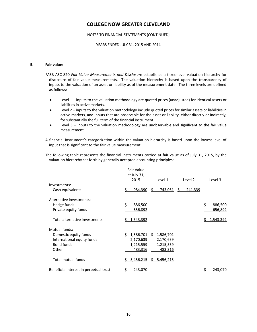# NOTES TO FINANCIAL STATEMENTS (CONTINUED)

#### YEARS ENDED JULY 31, 2015 AND 2014

# **5. Fair value:**

FASB ASC 820 *Fair Value Measurements and Disclosure* establishes a three-level valuation hierarchy for disclosure of fair value measurements. The valuation hierarchy is based upon the transparency of inputs to the valuation of an asset or liability as of the measurement date. The three levels are defined as follows:

- Level 1 inputs to the valuation methodology are quoted prices (unadjusted) for identical assets or liabilities in active markets.
- Level 2 inputs to the valuation methodology include quoted prices for similar assets or liabilities in active markets, and inputs that are observable for the asset or liability, either directly or indirectly, for substantially the full term of the financial instrument.
- Level 3 inputs to the valuation methodology are unobservable and significant to the fair value measurement.
- A financial instrument's categorization within the valuation hierarchy is based upon the lowest level of input that is significant to the fair value measurement.

The following table represents the financial instruments carried at fair value as of July 31, 2015, by the valuation hierarchy set forth by generally accepted accounting principles:

|                                        | <b>Fair Value</b><br>at July 31, |                        |              |               |
|----------------------------------------|----------------------------------|------------------------|--------------|---------------|
|                                        | 2015                             | Level 1                | Level 2      | Level 3       |
| Investments:                           |                                  |                        |              |               |
| Cash equivalents                       | \$<br>984,390                    | 743,051<br>S.          | 241,339<br>S |               |
| Alternative investments:               |                                  |                        |              |               |
| Hedge funds                            | \$<br>886,500                    |                        |              | \$<br>886,500 |
| Private equity funds                   | 656,892                          |                        |              | 656,892       |
| Total alternative investments          | 1,543,392                        |                        |              | 1,543,392     |
| Mutual funds:                          |                                  |                        |              |               |
| Domestic equity funds                  | Ś.                               | 1,586,701 \$ 1,586,701 |              |               |
| International equity funds             | 2,170,639                        | 2,170,639              |              |               |
| <b>Bond funds</b>                      | 1,215,559                        | 1,215,559              |              |               |
| Other                                  | 483,316                          | 483,316                |              |               |
| <b>Total mutual funds</b>              | 5,456,215                        | 5,456,215              |              |               |
| Beneficial interest in perpetual trust | 243,070                          |                        |              | 243,070       |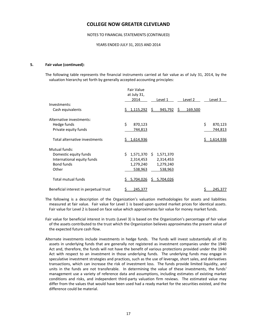# NOTES TO FINANCIAL STATEMENTS (CONTINUED)

#### YEARS ENDED JULY 31, 2015 AND 2014

# **5. Fair value (continued):**

The following table represents the financial instruments carried at fair value as of July 31, 2014, by the valuation hierarchy set forth by generally accepted accounting principles:

|                                        | <b>Fair Value</b>     |                 |         |               |
|----------------------------------------|-----------------------|-----------------|---------|---------------|
|                                        | at July 31,           |                 |         |               |
|                                        | 2014                  | Level 1         | Level 2 | Level 3       |
| Investments:                           |                       |                 |         |               |
| Cash equivalents                       | 1,115,292<br>Ś        | 945,792         | 169,500 |               |
| Alternative investments:               |                       |                 |         |               |
| Hedge funds                            | \$<br>870,123         |                 |         | \$<br>870,123 |
| Private equity funds                   | 744,813               |                 |         | 744,813       |
| Total alternative investments          | <u>1,614,936</u><br>S |                 |         | 1,614,936     |
| Mutual funds:                          |                       |                 |         |               |
| Domestic equity funds                  | Ś<br>1,571,370        | 1,571,370<br>S. |         |               |
| International equity funds             | 2,314,453             | 2,314,453       |         |               |
| <b>Bond funds</b>                      | 1,279,240             | 1,279,240       |         |               |
| Other                                  | 538,963               | 538,963         |         |               |
| <b>Total mutual funds</b>              | 5,704,026<br>S        | 5,704,026<br>S  |         |               |
| Beneficial interest in perpetual trust | \$<br>245,377         |                 |         | 245,377       |

The following is a description of the Organization's valuation methodologies for assets and liabilities measured at fair value. Fair value for Level 1 is based upon quoted market prices for identical assets. Fair value for Level 2 is based on face value which approximates fair value for money market funds.

Fair value for beneficial interest in trusts (Level 3) is based on the Organization's percentage of fair value of the assets contributed to the trust which the Organization believes approximates the present value of the expected future cash flow.

Alternate investments include investments in hedge funds. The funds will invest substantially all of its assets in underlying funds that are generally not registered as investment companies under the 1940 Act and, therefore, the funds will not have the benefit of various protections provided under the 1940 Act with respect to an investment in those underlying funds. The underlying funds may engage in speculative investment strategies and practices, such as the use of leverage, short sales, and derivatives transactions, which can increase the risk of investment loss. The funds provide limited liquidity, and units in the funds are not transferable. In determining the value of these investments, the funds' management use a variety of reference data and assumptions, including estimates of existing market conditions and risks, and independent third-party valuation firm reviews. The estimated value may differ from the values that would have been used had a ready market for the securities existed, and the difference could be material.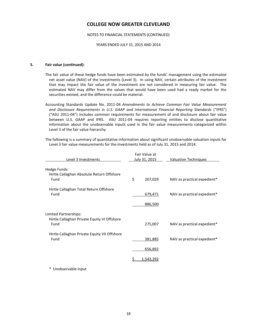# NOTES TO FINANCIAL STATEMENTS (CONTINUED)

### YEARS ENDED JULY 31, 2015 AND 2014

# **5. Fair value (continued):**

The fair value of these hedge funds have been estimated by the funds' management using the estimated net asset value (NAV) of the investments (Level 3). In using NAV, certain attributes of the investment that may impact the fair value of the investment are not considered in measuring fair value. The estimated NAV may differ from the values that would have been used had a ready market for the securities existed, and the difference could be material.

Accounting Standards Update No. 2011-04 *Amendments to Achieve Common Fair Value Measurement and Disclosure Requirements in U.S. GAAP and International Financial Reporting Standards* ("IFRS") ("ASU 2011-04") includes common requirements for measurement of and disclosure about fair value between U.S. GAAP and IFRS. ASU 2011-04 requires reporting entities to disclose quantitative information about the unobservable inputs used in the fair value measurements categorized within Level 3 of the fair value hierarchy.

| The following is a summary of quantitative information about significant unobservable valuation inputs for |
|------------------------------------------------------------------------------------------------------------|
| Level 3 fair value measurements for the investments held as of July 31, 2015 and 2014:                     |

| Level 3 Investments                                                          | Fair Value at<br>July 31, 2015 | <b>Valuation Techniques</b> |
|------------------------------------------------------------------------------|--------------------------------|-----------------------------|
| Hedge Funds:<br>Hirtle Callaghan Absolute Return Offshore<br>Fund            | \$<br>207,029                  | NAV as practical expedient* |
| Hirtle Callaghan Total Return Offshore<br>Fund                               | 679,471<br>886,500             | NAV as practical expedient* |
| Limited Partnerships:<br>Hirtle Callaghan Private Equity VI Offshore<br>Fund | 275,007                        | NAV as practical expedient* |
| Hirtle Callaghan Private Equity VII Offshore<br>Fund                         | 381,885<br>656,892             | NAV as practical expedient* |
|                                                                              | 1,543,392                      |                             |

\* Unobservable input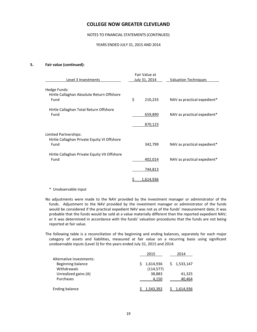# NOTES TO FINANCIAL STATEMENTS (CONTINUED)

# YEARS ENDED JULY 31, 2015 AND 2014

# **5. Fair value (continued):**

| Level 3 Investments                                                          | Fair Value at<br><u>July 31, 2014</u> | <b>Valuation Techniques</b> |
|------------------------------------------------------------------------------|---------------------------------------|-----------------------------|
| Hedge Funds:<br>Hirtle Callaghan Absolute Return Offshore<br>Fund            | \$<br>210,233                         | NAV as practical expedient* |
| Hirtle Callaghan Total Return Offshore<br>Fund                               | 659,890<br>870,123                    | NAV as practical expedient* |
| Limited Partnerships:<br>Hirtle Callaghan Private Equity VI Offshore<br>Fund | 342,799                               | NAV as practical expedient* |
| Hirtle Callaghan Private Equity VII Offshore<br>Fund                         | 402,014                               | NAV as practical expedient* |
|                                                                              | <u>744,813</u><br>1,614,936           |                             |

\* Unobservable input

- No adjustments were made to the NAV provided by the investment manager or administrator of the funds. Adjustment to the NAV provided by the investment manager or administrator of the funds would be considered if the practical expedient NAV was not as of the funds' measurement date; it was probable that the funds would be sold at a value materially different than the reported expedient NAV; or it was determined in accordance with the funds' valuation procedures that the funds are not being reported at fair value.
- The following table is a reconciliation of the beginning and ending balances, separately for each major category of assets and liabilities, measured at fair value on a recurring basis using significant unobservable inputs (Level 3) for the years ended July 31, 2015 and 2014:

|                          | 2015       | 2014        |
|--------------------------|------------|-------------|
| Alternative investments: |            |             |
| Beginning balance        | 1,614,936  | \$1,533,147 |
| Withdrawals              | (114, 577) |             |
| Unrealized gains (A)     | 38,883     | 41,325      |
| Purchases                | 4,150      | 40,464      |
| <b>Ending balance</b>    | 1.543.392  | 1.614.936   |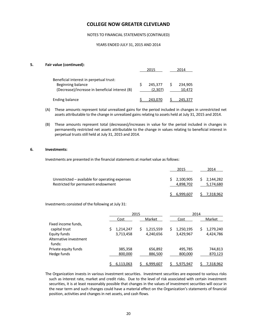# NOTES TO FINANCIAL STATEMENTS (CONTINUED)

#### YEARS ENDED JULY 31, 2015 AND 2014

# **5. Fair value (continued):**

|                                                                                                                | 2015               | 2014              |
|----------------------------------------------------------------------------------------------------------------|--------------------|-------------------|
| Beneficial interest in perpetual trust:<br>Beginning balance<br>(Decrease)/increase in beneficial interest (B) | 245,377<br>(2,307) | 234,905<br>10.472 |
| Ending balance                                                                                                 | 243.070            | 245,377           |

- (A) These amounts represent total unrealized gains for the period included in changes in unrestricted net assets attributable to the change in unrealized gains relating to assets held at July 31, 2015 and 2014.
- (B) These amounts represent total (decreases)/increases in value for the period included in changes in permanently restricted net assets attributable to the change in values relating to beneficial interest in perpetual trusts still held at July 31, 2015 and 2014.

# **6. Investments:**

Investments are presented in the financial statements at market value as follows:

|                                                                                       | 2015                     | 2014                                   |
|---------------------------------------------------------------------------------------|--------------------------|----------------------------------------|
| Unrestricted – available for operating expenses<br>Restricted for permanent endowment | \$2,100,905<br>4,898,702 | $\frac{1}{2}$ , 2,144,282<br>5,174,680 |
|                                                                                       | 6,999,607                | 7,318,962                              |

Investments consisted of the following at July 31:

|                                  |                | 2015      |                 | 2014      |
|----------------------------------|----------------|-----------|-----------------|-----------|
|                                  | Cost           | Market    | Cost            | Market    |
| Fixed income funds,              |                |           |                 |           |
| capital trust                    | Ś<br>1,214,247 | 1,215,559 | 1,250,195<br>\$ | 1,279,240 |
| Equity funds                     | 3,713,458      | 4,240,656 | 3,429,967       | 4,424,786 |
| Alternative investment<br>funds: |                |           |                 |           |
| Private equity funds             | 385,358        | 656,892   | 495,785         | 744,813   |
| Hedge funds                      | 800,000        | 886,500   | 800,000         | 870,123   |
|                                  | 6,113,063      | 6,999,607 | 5,975,947       | 7,318,962 |

The Organization invests in various investment securities. Investment securities are exposed to various risks such as interest rate, market and credit risks. Due to the level of risk associated with certain investment securities, it is at least reasonably possible that changes in the values of investment securities will occur in the near term and such changes could have a material effect on the Organization's statements of financial position, activities and changes in net assets, and cash flows.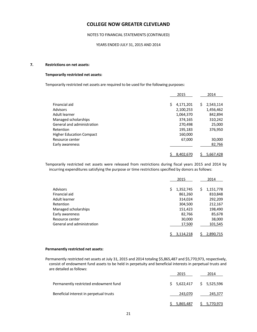# NOTES TO FINANCIAL STATEMENTS (CONTINUED)

### YEARS ENDED JULY 31, 2015 AND 2014

# **7. Restrictions on net assets:**

# **Temporarily restricted net assets:**

Temporarily restricted net assets are required to be used for the following purposes:

|                                 | 2015            | 2014            |
|---------------------------------|-----------------|-----------------|
| Financial aid                   | \$<br>4,171,201 | 2,543,114<br>S. |
| <b>Advisors</b>                 | 2,100,253       | 1,456,462       |
| Adult learner                   | 1,064,370       | 842,894         |
| Managed scholarships            | 374,165         | 310,242         |
| General and administration      | 270,498         | 25,000          |
| Retention                       | 195,183         | 376,950         |
| <b>Higher Education Compact</b> | 160,000         |                 |
| Resource center                 | 67,000          | 30,000          |
| Early awareness                 |                 | 82,766          |
|                                 | 8,402,670       | 5,667,428       |

Temporarily restricted net assets were released from restrictions during fiscal years 2015 and 2014 by incurring expenditures satisfying the purpose or time restrictions specified by donors as follows:

|                            | 2015            | 2014            |
|----------------------------|-----------------|-----------------|
| <b>Advisors</b>            | \$<br>1,352,745 | 1,151,778<br>S. |
| Financial aid              | 861,260         | 810,848         |
| Adult learner              | 314,024         | 292,209         |
| Retention                  | 304,500         | 212,167         |
| Managed scholarships       | 151,423         | 198,490         |
| Early awareness            | 82,766          | 85,678          |
| Resource center            | 30,000          | 38,000          |
| General and administration | 17,500          | 101,545         |
|                            | 3,114,218       | 2,890,715       |

# **Permanently restricted net assets:**

Permanently restricted net assets at July 31, 2015 and 2014 totaling \$5,865,487 and \$5,770,973, respectively, consist of endowment fund assets to be held in perpetuity and beneficial interests in perpetual trusts and are detailed as follows:

|                                         | 2015                      | 2014               |
|-----------------------------------------|---------------------------|--------------------|
| Permanently restricted endowment fund   | $$5,622,417$ $$5,525,596$ |                    |
| Beneficial interest in perpetual trusts | 243,070                   | 245,377            |
|                                         | \$5,865,487               | <u>\$5,770,973</u> |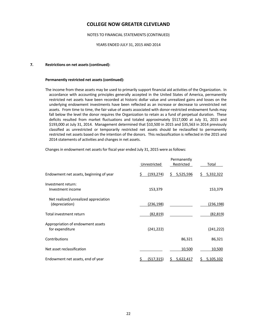# NOTES TO FINANCIAL STATEMENTS (CONTINUED)

# YEARS ENDED JULY 31, 2015 AND 2014

# **7. Restrictions on net assets (continued):**

#### **Permanently restricted net assets (continued):**

The income from these assets may be used to primarily support financial aid activities of the Organization. In accordance with accounting principles generally accepted in the United States of America, permanently restricted net assets have been recorded at historic dollar value and unrealized gains and losses on the underlying endowment investments have been reflected as an increase or decrease to unrestricted net assets. From time to time, the fair value of assets associated with donor-restricted endowment funds may fall below the level the donor requires the Organization to retain as a fund of perpetual duration. These deficits resulted from market fluctuations and totaled approximately \$517,000 at July 31, 2015 and \$193,000 at July 31, 2014. Management determined that \$10,500 in 2015 and \$35,563 in 2014 previously classified as unrestricted or temporarily restricted net assets should be reclassified to permanently restricted net assets based on the intention of the donors. This reclassification is reflected in the 2015 and 2014 statements of activities and changes in net assets.

Changes in endowment net assets for fiscal year ended July 31, 2015 were as follows:

|                                                        | Unrestricted    | Permanently<br>Restricted | Total            |
|--------------------------------------------------------|-----------------|---------------------------|------------------|
| Endowment net assets, beginning of year                | (193,274)<br>Ś. | $5$ 5,525,596             | 5,332,322<br>S   |
| Investment return:<br>Investment income                | 153,379         |                           | 153,379          |
| Net realized/unrealized appreciation<br>(depreciation) | (236, 198)      |                           | <u>(236,198)</u> |
| Total investment return                                | (82, 819)       |                           | (82, 819)        |
| Appropriation of endowment assets<br>for expenditure   | (241, 222)      |                           | (241, 222)       |
| Contributions                                          |                 | 86,321                    | 86,321           |
| Net asset reclassification                             |                 | 10,500                    | 10,500           |
| Endowment net assets, end of year                      | (517,315)       | 5,622,417                 | 5,105,102        |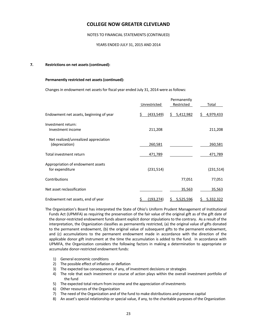# NOTES TO FINANCIAL STATEMENTS (CONTINUED)

#### YEARS ENDED JULY 31, 2015 AND 2014

### **7. Restrictions on net assets (continued):**

#### **Permanently restricted net assets (continued):**

Changes in endowment net assets for fiscal year ended July 31, 2014 were as follows:

|                                                        | Unrestricted     | Permanently<br>Restricted | Total          |
|--------------------------------------------------------|------------------|---------------------------|----------------|
| Endowment net assets, beginning of year                | (433, 549)<br>S. | 5,412,982<br>S.           | 4,979,433<br>S |
| Investment return:<br>Investment income                | 211,208          |                           | 211,208        |
| Net realized/unrealized appreciation<br>(depreciation) | 260,581          |                           | 260,581        |
| Total investment return                                | 471,789          |                           | 471,789        |
| Appropriation of endowment assets<br>for expenditure   | (231, 514)       |                           | (231, 514)     |
| Contributions                                          |                  | 77,051                    | 77,051         |
| Net asset reclassification                             |                  | 35,563                    | 35,563         |
| Endowment net assets, end of year                      | (193, 274)       | 5,525,596                 | 5,332,322      |

The Organization's Board has interpreted the State of Ohio's Uniform Prudent Management of Institutional Funds Act (UPMIFA) as requiring the preservation of the fair value of the original gift as of the gift date of the donor-restricted endowment funds absent explicit donor stipulations to the contrary. As a result of the interpretation, the Organization classifies as permanently restricted, (a) the original value of gifts donated to the permanent endowment, (b) the original value of subsequent gifts to the permanent endowment, and (c) accumulations to the permanent endowment made in accordance with the direction of the applicable donor gift instrument at the time the accumulation is added to the fund. In accordance with UPMIFA, the Organization considers the following factors in making a determination to appropriate or accumulate donor-restricted endowment funds:

- 1) General economic conditions
- 2) The possible effect of inflation or deflation
- 3) The expected tax consequences, if any, of investment decisions or strategies
- 4) The role that each investment or course of action plays within the overall investment portfolio of the fund
- 5) The expected total return from income and the appreciation of investments
- 6) Other resources of the Organization
- 7) The need of the Organization and of the fund to make distributions and preserve capital
- 8) An asset's special relationship or special value, if any, to the charitable purposes of the Organization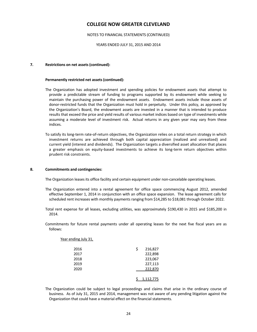### NOTES TO FINANCIAL STATEMENTS (CONTINUED)

#### YEARS ENDED JULY 31, 2015 AND 2014

# **7. Restrictions on net assets (continued):**

#### **Permanently restricted net assets (continued):**

- The Organization has adopted investment and spending policies for endowment assets that attempt to provide a predictable stream of funding to programs supported by its endowment while seeking to maintain the purchasing power of the endowment assets. Endowment assets include those assets of donor-restricted funds that the Organization must hold in perpetuity. Under this policy, as approved by the Organization's Board, the endowment assets are invested in a manner that is intended to produce results that exceed the price and yield results of various market indices based on type of investments while assuming a moderate level of investment risk. Actual returns in any given year may vary from these indices.
- To satisfy its long-term rate-of-return objectives, the Organization relies on a total return strategy in which investment returns are achieved through both capital appreciation (realized and unrealized) and current yield (interest and dividends). The Organization targets a diversified asset allocation that places a greater emphasis on equity-based investments to achieve its long-term return objectives within prudent risk constraints.

### **8. Commitments and contingencies:**

The Organization leases its office facility and certain equipment under non-cancelable operating leases.

- The Organization entered into a rental agreement for office space commencing August 2012, amended effective September 1, 2014 in conjunction with an office space expansion. The lease agreement calls for scheduled rent increases with monthly payments ranging from \$14,285 to \$18,081 through October 2022.
- Total rent expense for all leases, excluding utilities, was approximately \$190,430 in 2015 and \$185,200 in 2014.
- Commitments for future rental payments under all operating leases for the next five fiscal years are as follows:

| Year ending July 31, |               |  |
|----------------------|---------------|--|
| 2016                 | \$<br>216,827 |  |
| 2017                 | 222,898       |  |
| 2018                 | 223,067       |  |
| 2019                 | 227,113       |  |
| 2020                 | 222,870       |  |
|                      | 1,112,775     |  |

The Organization could be subject to legal proceedings and claims that arise in the ordinary course of business. As of July 31, 2015 and 2014, management was not aware of any pending litigation against the Organization that could have a material effect on the financial statements.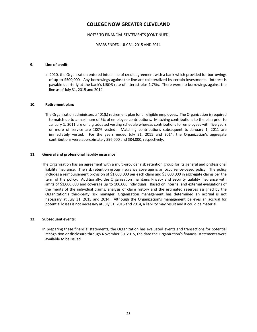# NOTES TO FINANCIAL STATEMENTS (CONTINUED)

### YEARS ENDED JULY 31, 2015 AND 2014

### **9. Line of credit:**

In 2010, the Organization entered into a line of credit agreement with a bank which provided for borrowings of up to \$500,000. Any borrowings against the line are collateralized by certain investments. Interest is payable quarterly at the bank's LIBOR rate of interest plus 1.75%. There were no borrowings against the line as of July 31, 2015 and 2014.

#### **10. Retirement plan:**

The Organization administers a 401(k) retirement plan for all eligible employees. The Organization is required to match up to a maximum of 5% of employee contributions. Matching contributions to the plan prior to January 1, 2011 are on a graduated vesting schedule whereas contributions for employees with five years or more of service are 100% vested. Matching contributions subsequent to January 1, 2011 are immediately vested. For the years ended July 31, 2015 and 2014, the Organization's aggregate contributions were approximately \$96,000 and \$84,000, respectively.

### **11. General and professional liability insurance:**

The Organization has an agreement with a multi-provider risk retention group for its general and professional liability insurance. The risk retention group insurance coverage is an occurrence-based policy. The policy includes a reimbursement provision of \$1,000,000 per each claim and \$3,000,000 in aggregate claims per the term of the policy. Additionally, the Organization maintains Privacy and Security Liability insurance with limits of \$1,000,000 and coverage up to 100,000 individuals. Based on internal and external evaluations of the merits of the individual claims, analysis of claim history and the estimated reserves assigned by the Organization's third-party risk manager, Organization management has determined an accrual is not necessary at July 31, 2015 and 2014. Although the Organization's management believes an accrual for potential losses is not necessary at July 31, 2015 and 2014, a liability may result and it could be material.

### **12. Subsequent events:**

In preparing these financial statements, the Organization has evaluated events and transactions for potential recognition or disclosure through November 30, 2015, the date the Organization's financial statements were available to be issued.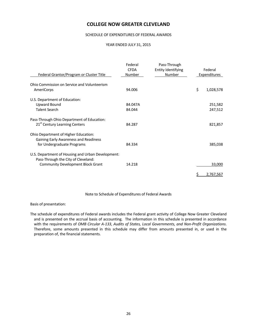# SCHEDULE OF EXPENDITURES OF FEDERAL AWARDS

# YEAR ENDED JULY 31, 2015

|                                                                                                                                      | Federal<br><b>CFDA</b> | Pass-Through<br><b>Entity Identifying</b> | Federal<br>Expenditures |           |  |
|--------------------------------------------------------------------------------------------------------------------------------------|------------------------|-------------------------------------------|-------------------------|-----------|--|
| Federal Grantor/Program or Cluster Title                                                                                             | Number                 | Number                                    |                         |           |  |
| Ohio Commission on Service and Volunteerism<br>AmeriCorps                                                                            | 94.006                 |                                           | \$                      | 1,028,578 |  |
| U.S. Department of Education:                                                                                                        |                        |                                           |                         |           |  |
| Upward Bound                                                                                                                         | 84.047A                |                                           |                         | 251,582   |  |
| <b>Talent Search</b>                                                                                                                 | 84.044                 |                                           |                         | 247,512   |  |
| Pass-Through Ohio Department of Education:<br>21 <sup>st</sup> Century Learning Centers                                              | 84.287                 |                                           |                         | 821,857   |  |
| Ohio Department of Higher Education:<br>Gaining Early Awareness and Readiness<br>for Undergraduate Programs                          | 84.334                 |                                           |                         | 385,038   |  |
| U.S. Department of Housing and Urban Development:<br>Pass-Through the City of Cleveland:<br><b>Community Development Block Grant</b> | 14.218                 |                                           |                         | 33,000    |  |
|                                                                                                                                      |                        |                                           |                         | 2,767,567 |  |

### Note to Schedule of Expenditures of Federal Awards

Basis of presentation:

The schedule of expenditures of Federal awards includes the Federal grant activity of College Now Greater Cleveland and is presented on the accrual basis of accounting. The information in this schedule is presented in accordance with the requirements of *OMB Circular A-133*, *Audits of States, Local Governments, and Non-Profit Organizations*. Therefore, some amounts presented in this schedule may differ from amounts presented in, or used in the preparation of, the financial statements.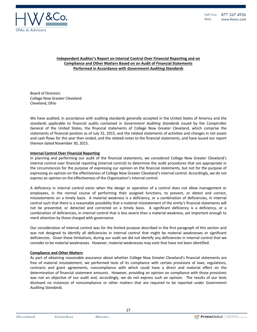



**Independent Auditor's Report on Internal Control Over Financial Reporting and on Compliance and Other Matters Based on an Audit of Financial Statements Performed in Accordance with** *Government Auditing Standards*

Board of Directors College Now Greater Cleveland Cleveland, Ohio

We have audited, in accordance with auditing standards generally accepted in the United States of America and the standards applicable to financial audits contained in *Government Auditing Standards* issued by the Comptroller General of the United States, the financial statements of College Now Greater Cleveland, which comprise the statements of financial position as of July 31, 2015, and the related statements of activities and changes in net assets and cash flows for the year then ended, and the related notes to the financial statements, and have issued our report thereon dated November 30, 2015.

### **Internal Control Over Financial Reporting**

In planning and performing our audit of the financial statements, we considered College Now Greater Cleveland's internal control over financial reporting (internal control) to determine the audit procedures that are appropriate in the circumstances for the purpose of expressing our opinion on the financial statements, but not for the purpose of expressing an opinion on the effectiveness of College Now Greater Cleveland's internal control. Accordingly, we do not express an opinion on the effectiveness of the Organization's internal control.

A deficiency in internal control exists when the design or operation of a control does not allow management or employees, in the normal course of performing their assigned functions, to prevent, or detect and correct, misstatements on a timely basis. A material weakness is a deficiency, or a combination of deficiencies, in internal control such that there is a reasonable possibility that a material misstatement of the entity's financial statements will not be prevented, or detected and corrected on a timely basis. A significant deficiency is a deficiency, or a combination of deficiencies, in internal control that is less severe than a material weakness, yet important enough to merit attention by those charged with governance.

Our consideration of internal control was for the limited purpose described in the first paragraph of this section and was not designed to identify all deficiencies in internal control that might be material weaknesses or significant deficiencies. Given these limitations, during our audit we did not identify any deficiencies in internal control that we consider to be material weaknesses. However, material weaknesses may exist that have not been identified.

### **Compliance and Other Matters**

As part of obtaining reasonable assurance about whether College Now Greater Cleveland's financial statements are free of material misstatement, we performed tests of its compliance with certain provisions of laws, regulations, contracts and grant agreements, noncompliance with which could have a direct and material effect on the determination of financial statement amounts. However, providing an opinion on compliance with those provisions was not an objective of our audit and, accordingly, we do not express such an opinion. The results of our tests disclosed no instances of noncompliance or other matters that are required to be reported under *Government Auditing Standards*.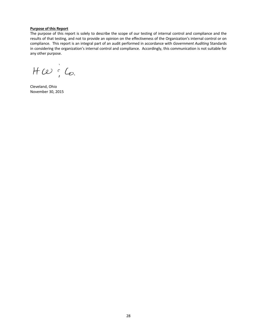#### **Purpose of this Report**

The purpose of this report is solely to describe the scope of our testing of internal control and compliance and the results of that testing, and not to provide an opinion on the effectiveness of the Organization's internal control or on compliance. This report is an integral part of an audit performed in accordance with *Government Auditing* Standards in considering the organization's internal control and compliance. Accordingly, this communication is not suitable for any other purpose.

 $H\omega$  ; Lo.

Cleveland, Ohio November 30, 2015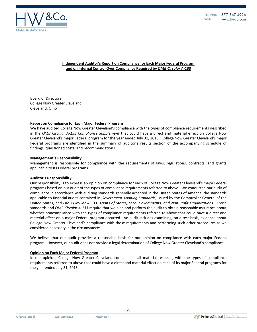

# **Independent Auditor's Report on Compliance for Each Major Federal Program and on Internal Control Over Compliance Required by** *OMB Circular A-133*

Board of Directors College Now Greater Cleveland Cleveland, Ohio

# **Report on Compliance for Each Major Federal Program**

We have audited College Now Greater Cleveland's compliance with the types of compliance requirements described in the *OMB Circular A-133 Compliance Supplement* that could have a direct and material effect on College Now Greater Cleveland's major Federal program for the year ended July 31, 2015. College Now Greater Cleveland's major Federal programs are identified in the summary of auditor's results section of the accompanying schedule of findings, questioned costs, and recommendations.

### **Management's Responsibility**

Management is responsible for compliance with the requirements of laws, regulations, contracts, and grants applicable to its Federal programs.

### **Auditor's Responsibility**

Our responsibility is to express an opinion on compliance for each of College Now Greater Cleveland's major Federal programs based on our audit of the types of compliance requirements referred to above. We conducted our audit of compliance in accordance with auditing standards generally accepted in the United States of America; the standards applicable to financial audits contained in *Government Auditing Standards*, issued by the Comptroller General of the United States, and *OMB Circular A-133, Audits of States, Local Governments, and Non-Profit Organizations*. Those standards and *OMB Circular A-133* require that we plan and perform the audit to obtain reasonable assurance about whether noncompliance with the types of compliance requirements referred to above that could have a direct and material effect on a major Federal program occurred. An audit includes examining, on a test basis, evidence about College Now Greater Cleveland's compliance with those requirements and performing such other procedures as we considered necessary in the circumstances.

We believe that our audit provides a reasonable basis for our opinion on compliance with each major Federal program. However, our audit does not provide a legal determination of College Now Greater Cleveland's compliance.

### **Opinion on Each Major Federal Program**

In our opinion, College Now Greater Cleveland complied, in all material respects, with the types of compliance requirements referred to above that could have a direct and material effect on each of its major Federal programs for the year ended July 31, 2015.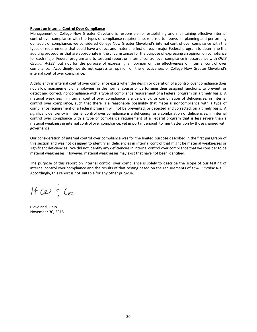#### **Report on Internal Control Over Compliance**

Management of College Now Greater Cleveland is responsible for establishing and maintaining effective internal control over compliance with the types of compliance requirements referred to above. In planning and performing our audit of compliance, we considered College Now Greater Cleveland's internal control over compliance with the types of requirements that could have a direct and material effect on each major Federal program to determine the auditing procedures that are appropriate in the circumstances for the purpose of expressing an opinion on compliance for each major Federal program and to test and report on internal control over compliance in accordance with *OMB Circular A-133*, but not for the purpose of expressing an opinion on the effectiveness of internal control over compliance. Accordingly, we do not express an opinion on the effectiveness of College Now Greater Cleveland's internal control over compliance.

A deficiency in internal control over compliance exists when the design or operation of a control over compliance does not allow management or employees, in the normal course of performing their assigned functions, to prevent, or detect and correct, noncompliance with a type of compliance requirement of a Federal program on a timely basis. A material weakness in internal control over compliance is a deficiency, or combination of deficiencies, in internal control over compliance, such that there is a reasonable possibility that material noncompliance with a type of compliance requirement of a Federal program will not be prevented, or detected and corrected, on a timely basis. A significant deficiency in internal control over compliance is a deficiency, or a combination of deficiencies, in internal control over compliance with a type of compliance requirement of a Federal program that is less severe than a material weakness in internal control over compliance, yet important enough to merit attention by those charged with governance.

Our consideration of internal control over compliance was for the limited purpose described in the first paragraph of this section and was not designed to identify all deficiencies in internal control that might be material weaknesses or significant deficiencies. We did not identify any deficiencies in internal control over compliance that we consider to be material weaknesses. However, material weaknesses may exist that have not been identified.

The purpose of this report on internal control over compliance is solely to describe the scope of our testing of internal control over compliance and the results of that testing based on the requirements of *OMB Circular A-133*. Accordingly, this report is not suitable for any other purpose.

 $H\omega$  : Lo.

Cleveland, Ohio November 30, 2015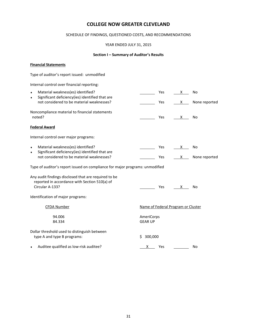# SCHEDULE OF FINDINGS, QUESTIONED COSTS, AND RECOMMENDATIONS

# YEAR ENDED JULY 31, 2015

# **Section I – Summary of Auditor's Results**

# **Financial Statements**

Type of auditor's report issued: unmodified

Internal control over financial reporting:

| Material weakness(es) identified?<br>٠                                                            | Yes                                | х  | No            |
|---------------------------------------------------------------------------------------------------|------------------------------------|----|---------------|
| Significant deficiency(ies) identified that are<br>۰<br>not considered to be material weaknesses? | Yes                                | X  | None reported |
|                                                                                                   |                                    |    |               |
| Noncompliance material to financial statements                                                    |                                    |    |               |
| noted?                                                                                            | Yes                                | X  | No            |
| <b>Federal Award</b>                                                                              |                                    |    |               |
| Internal control over major programs:                                                             |                                    |    |               |
| Material weakness(es) identified?<br>$\blacklozenge$                                              | Yes                                | x  | No            |
| Significant deficiency(ies) identified that are<br>۰                                              |                                    |    |               |
| not considered to be material weaknesses?                                                         | Yes                                | X. | None reported |
| Type of auditor's report issued on compliance for major programs: unmodified                      |                                    |    |               |
| Any audit findings disclosed that are required to be                                              |                                    |    |               |
| reported in accordance with Section 510(a) of                                                     |                                    |    |               |
| Circular A-133?                                                                                   | Yes                                | X  | No            |
| Identification of major programs:                                                                 |                                    |    |               |
| <b>CFDA Number</b>                                                                                | Name of Federal Program or Cluster |    |               |
| 94.006                                                                                            | AmeriCorps                         |    |               |
| 84.334                                                                                            | <b>GEAR UP</b>                     |    |               |
| Dollar threshold used to distinguish between                                                      |                                    |    |               |
| type A and type B programs:                                                                       | 300,000<br>Ś.                      |    |               |
| Auditee qualified as low-risk auditee?                                                            | Yes<br>X                           |    | No            |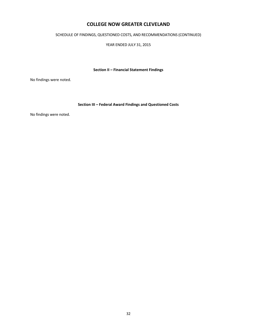SCHEDULE OF FINDINGS, QUESTIONED COSTS, AND RECOMMENDATIONS (CONTINUED)

YEAR ENDED JULY 31, 2015

**Section II – Financial Statement Findings**

No findings were noted.

**Section III – Federal Award Findings and Questioned Costs**

No findings were noted.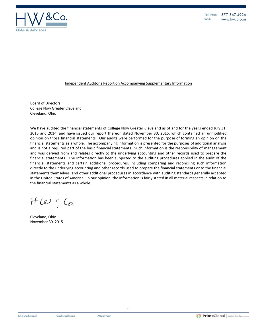

Independent Auditor's Report on Accompanying Supplementary Information

Board of Directors College Now Greater Cleveland Cleveland, Ohio

We have audited the financial statements of College Now Greater Cleveland as of and for the years ended July 31, 2015 and 2014, and have issued our report thereon dated November 30, 2015, which contained an unmodified opinion on those financial statements. Our audits were performed for the purpose of forming an opinion on the financial statements as a whole. The accompanying information is presented for the purposes of additional analysis and is not a required part of the basic financial statements. Such information is the responsibility of management and was derived from and relates directly to the underlying accounting and other records used to prepare the financial statements. The information has been subjected to the auditing procedures applied in the audit of the financial statements and certain additional procedures, including comparing and reconciling such information directly to the underlying accounting and other records used to prepare the financial statements or to the financial statements themselves, and other additional procedures in accordance with auditing standards generally accepted in the United States of America. In our opinion, the information is fairly stated in all material respects in relation to the financial statements as a whole.

 $H\omega$  : Lo.

Cleveland, Ohio November 30, 2015